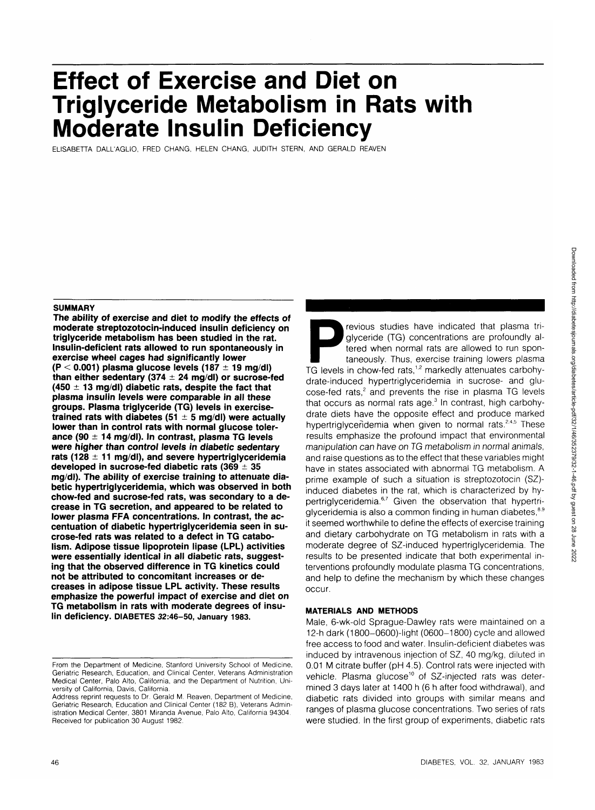# **Effect of Exercise and Diet on Triglyceride Metabolism in Rats with Moderate Insulin Deficiency**

ELISABETTA DALL'AGLIO, FRED CHANG, HELEN CHANG, JUDITH STERN, AND GERALD REAVEN

## **SUMMARY**

**The ability of exercise and diet to modify the effects of moderate streptozotocin-induced insulin deficiency on triglyceride metabolism has been studied in the rat. Insulin-deficient rats allowed to run spontaneously in exercise wheel cages had significantly lower (P < 0.001) plasma glucose levels (187 ± 19 mg/dl) than either sedentary (374 ± 24 mg/dl) or sucrose-fed (450 ±1 3 mg/dl) diabetic rats, despite the fact that plasma insulin levels were comparable in all these groups. Plasma triglyceride (TG) levels in exercisetrained rats with diabetes (51 ± 5 mg/dl) were actually lower than in control rats with normal glucose tolerance (90 ± 14 mg/dl). In contrast, plasma TG levels were higher than control levels in diabetic sedentary rats (128 ± 11 mg/dl), and severe hypertriglyceridemia developed in sucrose-fed diabetic rats (369 ± 35 mg/dl). The ability of exercise training to attenuate diabetic hypertriglyceridemia, which was observed in both chow-fed and sucrose-fed rats, was secondary to a decrease in TG secretion, and appeared to be related to lower plasma FFA concentrations. In contrast, the accentuation of diabetic hypertriglyceridemia seen in sucrose-fed rats was related to a defect in TG catabolism. Adipose tissue lipoprotein lipase (LPL) activities were essentially identical in all diabetic rats, suggesting that the observed difference in TG kinetics could not be attributed to concomitant increases or decreases in adipose tissue LPL activity. These results emphasize the powerful impact of exercise and diet on TG metabolism in rats with moderate degrees of insulin deficiency. DIABETES 32:46-50, January 1983.**

**Previous studies have indicated that plasma tri-** glyceride (TG) concentrations are profoundly altered when normal rats are allowed to run spontaneously. Thus, exercise training lowers plasma TG levels in chow-fed rats,<sup>1</sup> glyceride (TG) concentrations are profoundly altered when normal rats are allowed to run spontaneously. Thus, exercise training lowers plasma drate-induced hypertriglyceridemia in sucrose- and glu- $\cos$ e-fed rats,<sup>2</sup> and prevents the rise in plasma TG levels that occurs as normal rats age.<sup>3</sup> In contrast, high carbohydrate diets have the opposite effect and produce marked hypertriglyceridemia when given to normal rats.<sup>2,4,5</sup> These results emphasize the profound impact that environmental manipulation can have on TG metabolism in normal animals, and raise questions as to the effect that these variables might have in states associated with abnormal TG metabolism. A prime example of such a situation is streptozotocin (SZ) induced diabetes in the rat, which is characterized by hymaassa alassisse in the rat, which is enarasterized by myglyceridemia is also a common finding in human diabetes, 8.9 it seemed worthwhile to define the effects of exercise training and dietary carbohydrate on TG metabolism in rats with a moderate degree of SZ-induced hypertriglyceridemia. The results to be presented indicate that both experimental interventions profoundly modulate plasma TG concentrations, and help to define the mechanism by which these changes occur.

## **MATERIALS AND METHODS**

Male, 6-wk-old Sprague-Dawley rats were maintained on a 12-h dark (1800-0600)-light (0600-1800) cycle and allowed free access to food and water. Insulin-deficient diabetes was induced by intravenous injection of SZ, 40 mg/kg, diluted in 0.01 M citrate buffer (pH 4.5). Control rats were injected with vehicle. Plasma glucose<sup>10</sup> of SZ-injected rats was determined 3 days later at 1400 h (6 h after food withdrawal), and diabetic rats divided into groups with similar means and ranges of plasma glucose concentrations. Two series of rats were studied. In the first group of experiments, diabetic rats

From the Department of Medicine, Stanford University School of Medicine, Geriatric Research, Education, and Clinical Center, Veterans Administration Medical Center, Palo Alto, California, and the Department of Nutrition, University of California, Davis, California.

Address reprint requests to Dr. Gerald M. Reaven, Department of Medicine, Geriatric Research, Education and Clinical Center (182 B), Veterans Administration Medical Center, 3801 Miranda Avenue, Palo Alto, California 94304. Received for publication 30 August 1982.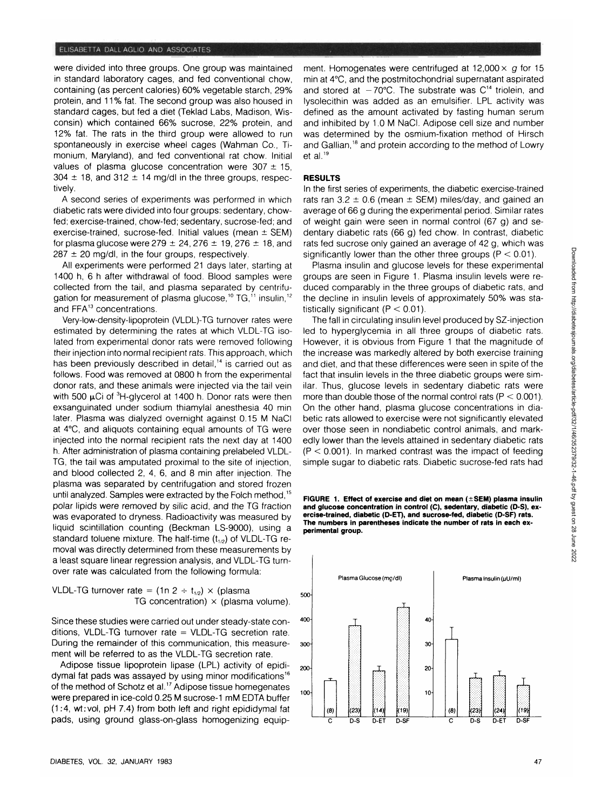were divided into three groups. One group was maintained in standard laboratory cages, and fed conventional chow, containing (as percent calories) 60% vegetable starch, 29% protein, and 11% fat. The second group was also housed in standard cages, but fed a diet (Teklad Labs, Madison, Wisconsin) which contained 66% sucrose, 22% protein, and 12% fat. The rats in the third group were allowed to run spontaneously in exercise wheel cages (Wahman Co., Timonium, Maryland), and fed conventional rat chow. Initial values of plasma glucose concentration were  $307 \pm 15$ ,  $304 \pm 18$ , and  $312 \pm 14$  mg/dl in the three groups, respectively.

A second series of experiments was performed in which diabetic rats were divided into four groups: sedentary, chowfed; exercise-trained, chow-fed; sedentary, sucrose-fed; and exercise-trained, sucrose-fed. Initial values (mean  $\pm$  SEM) for plasma glucose were  $279 \pm 24$ ,  $276 \pm 19$ ,  $276 \pm 18$ , and  $287 \pm 20$  mg/dl, in the four groups, respectively.

All experiments were performed 21 days later, starting at 1400 h, 6 h after withdrawal of food. Blood samples were collected from the tail, and plasma separated by centrifugation for measurement of plasma glucose,<sup>10</sup> TG,<sup>11</sup> insulin,<sup>12</sup> and FFA<sup>13</sup> concentrations.

Very-low-density-lipoprotein (VLDL)-TG turnover rates were estimated by determining the rates at which VLDL-TG isolated from experimental donor rats were removed following their injection into normal recipient rats. This approach, which has been previously described in detail,<sup>14</sup> is carried out as follows. Food was removed at 0800 h from the experimental donor rats, and these animals were injected via the tail vein with 500  $\mu$ Ci of  ${}^{3}$ H-glycerol at 1400 h. Donor rats were then exsanguinated under sodium thiamylal anesthesia 40 min later. Plasma was dialyzed overnight against 0.15 M NaCI at 4°C, and aliquots containing equal amounts of TG were injected into the normal recipient rats the next day at 1400 h. After administration of plasma containing prelabeled VLDL-TG, the tail was amputated proximal to the site of injection, and blood collected 2, 4, 6, and 8 min after injection. The plasma was separated by centrifugation and stored frozen until analyzed. Samples were extracted by the Folch method,<sup>15</sup> polar lipids were removed by silic acid, and the TG fraction was evaporated to dryness. Radioactivity was measured by liquid scintillation counting (Beckman LS-9000), using a standard toluene mixture. The half-time  $(t_{1/2})$  of VLDL-TG removal was directly determined from these measurements by a least square linear regression analysis, and VLDL-TG turnover rate was calculated from the following formula:

VLDL-TG turnover rate = 
$$
(1n \ 2 \div t_{1/2}) \times
$$
 (plasma volume).  
TG concentration) × (plasma volume).

Since these studies were carried out under steady-state conditions, VLDL-TG turnover rate = VLDL-TG secretion rate. During the remainder of this communication, this measurement will be referred to as the VLDL-TG secretion rate.

Adipose tissue lipoprotein lipase (LPL) activity of epididymal fat pads was assayed by using minor modifications<sup>16</sup> of the method of Schotz et al.<sup>17</sup> Adipose tissue homegenates were prepared in ice-cold 0.25 M sucrose-1 mM EDTA buffer (1:4, wt:vol, pH 7.4) from both left and right epididymal fat pads, using ground glass-on-glass homogenizing equip-

ment. Homogenates were centrifuged at  $12,000 \times q$  for  $15$ min at 4°C, and the postmitochondrial supernatant aspirated and stored at  $-70^{\circ}$ C. The substrate was C<sup>14</sup> triolein, and lysolecithin was added as an emulsifier. LPL activity was defined as the amount activated by fasting human serum and inhibited by 1.0 M NaCI. Adipose cell size and number was determined by the osmium-fixation method of Hirsch and Gallian,<sup>18</sup> and protein according to the method of Lowry et al.<sup>19</sup>

#### **RESULTS**

In the first series of experiments, the diabetic exercise-trained rats ran  $3.2 \pm 0.6$  (mean  $\pm$  SEM) miles/day, and gained an average of 66 g during the experimental period. Similar rates of weight gain were seen in normal control (67 g) and sedentary diabetic rats (66 g) fed chow. In contrast, diabetic rats fed sucrose only gained an average of 42 g, which was significantly lower than the other three groups ( $P < 0.01$ ).

Plasma insulin and glucose levels for these experimental groups are seen in Figure 1. Plasma insulin levels were reduced comparably in the three groups of diabetic rats, and the decline in insulin levels of approximately 50% was statistically significant ( $P < 0.01$ ).

The fall in circulating insulin level produced by SZ-injection led to hyperglycemia in all three groups of diabetic rats. However, it is obvious from Figure 1 that the magnitude of the increase was markedly altered by both exercise training and diet, and that these differences were seen in spite of the fact that insulin levels in the three diabetic groups were similar. Thus, glucose levels in sedentary diabetic rats were more than double those of the normal control rats  $(P < 0.001)$ . On the other hand, plasma glucose concentrations in diabetic rats allowed to exercise were not significantly elevated over those seen in nondiabetic control animals, and markedly lower than the levels attained in sedentary diabetic rats  $(P < 0.001)$ . In marked contrast was the impact of feeding simple sugar to diabetic rats. Diabetic sucrose-fed rats had

**FIGURE 1. Effect of exercise and diet on mean (±SEM) plasma insulin and glucose concentration in control (C), sedentary, diabetic (D-S), exercise-trained, diabetic (D-ET), and sucrose-fed, diabetic (D-SF) rats. The numbers in parentheses indicate the number of rats in each experimental group.**

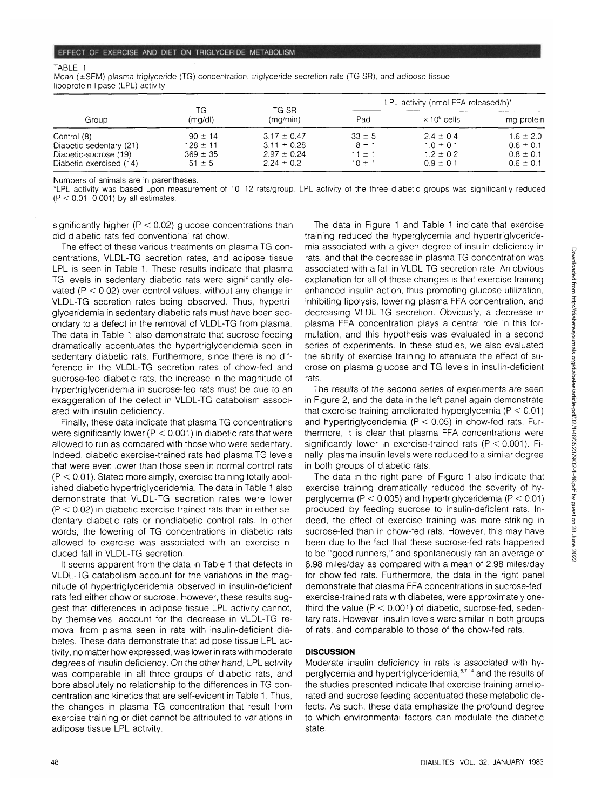#### TABLE 1

Mean ( $\pm$ SEM) plasma triglyceride (TG) concentration, triglyceride secretion rate (TG-SR), and adipose tissue lipoprotein lipase (LPL) activity

| Group                                                                                      | ΤG<br>(mg/d)                                              | TG-SR<br>(mq/min)                                                       | LPL activity (nmol FFA released/h)*           |                                                                  |                                                                  |
|--------------------------------------------------------------------------------------------|-----------------------------------------------------------|-------------------------------------------------------------------------|-----------------------------------------------|------------------------------------------------------------------|------------------------------------------------------------------|
|                                                                                            |                                                           |                                                                         | Pad                                           | $\times$ 10 $^{\circ}$ cells                                     | mg protein                                                       |
| Control (8)<br>Diabetic-sedentary (21)<br>Diabetic-sucrose (19)<br>Diabetic-exercised (14) | $90 \pm 14$<br>$128 \pm 11$<br>$369 \pm 35$<br>$51 \pm 5$ | $3.17 \pm 0.47$<br>$3.11 \pm 0.28$<br>$2.97 \pm 0.24$<br>$2.24 \pm 0.2$ | $33 \pm 5$<br>$8 + 1$<br>11 ± 1<br>$10 \pm 1$ | $2.4 \pm 0.4$<br>$1.0 \pm 0.1$<br>$1.2 \pm 0.2$<br>$0.9 \pm 0.1$ | $1.6 \pm 2.0$<br>$0.6 \pm 0.1$<br>$0.8 \pm 0.1$<br>$0.6 \pm 0.1$ |

Numbers of animals are in parentheses.

\*LPL activity was based upon measurement of 10-12 rats/group. LPL activity of the three diabetic groups was significantly reduced  $(P < 0.01 - 0.001)$  by all estimates.

significantly higher ( $P < 0.02$ ) glucose concentrations than did diabetic rats fed conventional rat chow.

The effect of these various treatments on plasma TG concentrations, VLDL-TG secretion rates, and adipose tissue LPL is seen in Table 1. These results indicate that plasma TG levels in sedentary diabetic rats were significantly elevated ( $P < 0.02$ ) over control values, without any change in VLDL-TG secretion rates being observed. Thus, hypertriglyceridemia in sedentary diabetic rats must have been secondary to a defect in the removal of VLDL-TG from plasma. The data in Table 1 also demonstrate that sucrose feeding dramatically accentuates the hypertriglyceridemia seen in sedentary diabetic rats. Furthermore, since there is no difference in the VLDL-TG secretion rates of chow-fed and sucrose-fed diabetic rats, the increase in the magnitude of hypertriglyceridemia in sucrose-fed rats must be due to an exaggeration of the defect in VLDL-TG catabolism associated with insulin deficiency.

Finally, these data indicate that plasma TG concentrations were significantly lower ( $P < 0.001$ ) in diabetic rats that were allowed to run as compared with those who were sedentary. Indeed, diabetic exercise-trained rats had plasma TG levels that were even lower than those seen in normal control rats  $(P < 0.01)$ . Stated more simply, exercise training totally abolished diabetic hypertriglyceridemia. The data in Table 1 also demonstrate that VLDL-TG secretion rates were lower  $(P < 0.02)$  in diabetic exercise-trained rats than in either sedentary diabetic rats or nondiabetic control rats. In other words, the lowering of TG concentrations in diabetic rats allowed to exercise was associated with an exercise-induced fall in VLDL-TG secretion.

It seems apparent from the data in Table 1 that defects in VLDL-TG catabolism account for the variations in the magnitude of hypertriglyceridemia observed in insulin-deficient rats fed either chow or sucrose. However, these results suggest that differences in adipose tissue LPL activity cannot, by themselves, account for the decrease in VLDL-TG removal from plasma seen in rats with insulin-deficient diabetes. These data demonstrate that adipose tissue LPL activity, no matter how expressed, was lower in rats with moderate degrees of insulin deficiency. On the other hand, LPL activity was comparable in all three groups of diabetic rats, and bore absolutely no relationship to the differences in TG concentration and kinetics that are self-evident in Table 1. Thus, the changes in plasma TG concentration that result from exercise training or diet cannot be attributed to variations in adipose tissue LPL activity.

The data in Figure 1 and Table 1 indicate that exercise training reduced the hyperglycemia and hypertriglyceridemia associated with a given degree of insulin deficiency in rats, and that the decrease in plasma TG concentration was associated with a fall in VLDL-TG secretion rate. An obvious explanation for all of these changes is that exercise training enhanced insulin action, thus promoting glucose utilization, inhibiting lipolysis, lowering plasma FFA concentration, and decreasing VLDL-TG secretion. Obviously, a decrease in plasma FFA concentration plays a central role in this formulation, and this hypothesis was evaluated in a second series of experiments. In these studies, we also evaluated the ability of exercise training to attenuate the effect of sucrose on plasma glucose and TG levels in insulin-deficient rats.

The results of the second series of experiments are seen in Figure 2, and the data in the left panel again demonstrate that exercise training ameliorated hyperglycemia ( $P < 0.01$ ) and hypertriglyceridemia ( $P < 0.05$ ) in chow-fed rats. Furthermore, it is clear that plasma FFA concentrations were significantly lower in exercise-trained rats  $(P < 0.001)$ . Finally, plasma insulin levels were reduced to a similar degree in both groups of diabetic rats.

The data in the right panel of Figure 1 also indicate that exercise training dramatically reduced the severity of hyperglycemia ( $P < 0.005$ ) and hypertriglyceridemia ( $P < 0.01$ ) produced by feeding sucrose to insulin-deficient rats. Indeed, the effect of exercise training was more striking in sucrose-fed than in chow-fed rats. However, this may have been due to the fact that these sucrose-fed rats happened to be "good runners," and spontaneously ran an average of 6.98 miles/day as compared with a mean of 2.98 miles/day for chow-fed rats. Furthermore, the data in the right panel demonstrate that plasma FFA concentrations in sucrose-fed, exercise-trained rats with diabetes, were approximately onethird the value  $(P < 0.001)$  of diabetic, sucrose-fed, sedentary rats. However, insulin levels were similar in both groups of rats, and comparable to those of the chow-fed rats.

### **DISCUSSION**

Moderate insulin deficiency in rats is associated with hyperglycemia and hypertriglyceridemia, 6,7,14 and the results of the studies presented indicate that exercise training ameliorated and sucrose feeding accentuated these metabolic defects. As such, these data emphasize the profound degree to which environmental factors can modulate the diabetic state.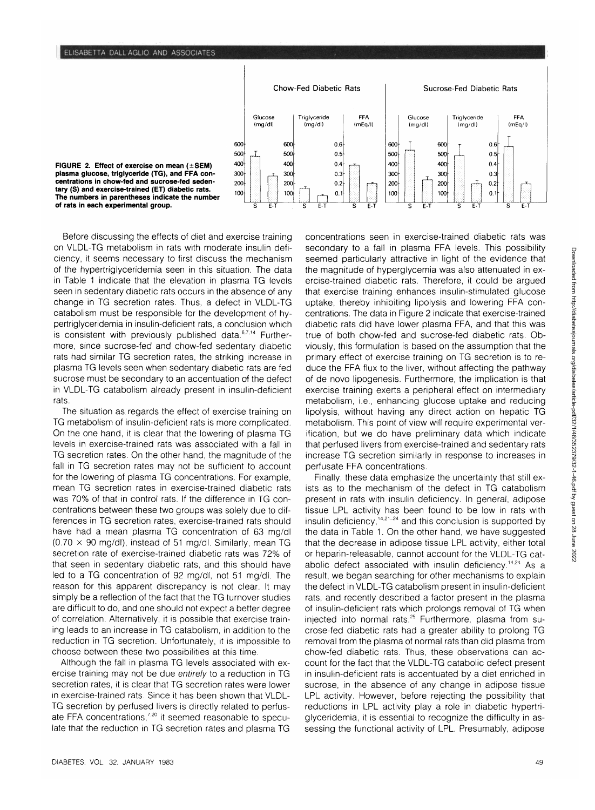

Before discussing the effects of diet and exercise training on VLDL-TG metabolism in rats with moderate insulin deficiency, it seems necessary to first discuss the mechanism of the hypertriglyceridemia seen in this situation. The data in Table 1 indicate that the elevation in plasma TG levels seen in sedentary diabetic rats occurs in the absence of any change in TG secretion rates. Thus, a defect in VLDL-TG catabolism must be responsible for the development of hypertriglyceridemia in insulin-deficient rats, a conclusion which is consistent with previously published data.<sup>6,7,14</sup> Furthermore, since sucrose-fed and chow-fed sedentary diabetic rats had similar TG secretion rates, the striking increase in plasma TG levels seen when sedentary diabetic rats are fed sucrose must be secondary to an accentuation of the defect in VLDL-TG catabolism already present in insulin-deficient rats.

The situation as regards the effect of exercise training on TG metabolism of insulin-deficient rats is more complicated. On the one hand, it is clear that the lowering of plasma TG levels in exercise-trained rats was associated with a fall in TG secretion rates. On the other hand, the magnitude of the fall in TG secretion rates may not be sufficient to account for the lowering of plasma TG concentrations. For example, mean TG secretion rates in exercise-trained diabetic rats was 70% of that in control rats. If the difference in TG concentrations between these two groups was solely due to differences in TG secretion rates, exercise-trained rats should have had a mean plasma TG concentration of 63 mg/dl  $(0.70 \times 90 \text{ mg/dl})$ , instead of 51 mg/dl. Similarly, mean TG secretion rate of exercise-trained diabetic rats was 72% of that seen in sedentary diabetic rats, and this should have led to a TG concentration of 92 mg/dl, not 51 mg/dl. The reason for this apparent discrepancy is not clear. It may simply be a reflection of the fact that the TG turnover studies are difficult to do, and one should not expect a better degree of correlation. Alternatively, it is possible that exercise training leads to an increase in TG catabolism, in addition to the reduction in TG secretion. Unfortunately, it is impossible to choose between these two possibilities at this time.

Although the fall in plasma TG levels associated with exercise training may not be due entirely to a reduction in TG secretion rates, it is clear that TG secretion rates were lower in exercise-trained rats. Since it has been shown that VLDL-TG secretion by perfused livers is directly related to perfusate FFA concentrations,<sup>7,20</sup> it seemed reasonable to speculate that the reduction in TG secretion rates and plasma TG concentrations seen in exercise-trained diabetic rats was secondary to a fall in plasma FFA levels. This possibility seemed particularly attractive in light of the evidence that the magnitude of hyperglycemia was also attenuated in exercise-trained diabetic rats. Therefore, it could be argued that exercise training enhances insulin-stimulated glucose uptake, thereby inhibiting lipolysis and lowering FFA concentrations. The data in Figure 2 indicate that exercise-trained diabetic rats did have lower plasma FFA, and that this was true of both chow-fed and sucrose-fed diabetic rats. Obviously, this formulation is based on the assumption that the primary effect of exercise training on TG secretion is to reduce the FFA flux to the liver, without affecting the pathway of de novo lipogenesis. Furthermore, the implication is that exercise training exerts a peripheral effect on intermediary metabolism, i.e., enhancing glucose uptake and reducing lipolysis, without having any direct action on hepatic TG metabolism. This point of view will require experimental verification, but we do have preliminary data which indicate that perfused livers from exercise-trained and sedentary rats increase TG secretion similarly in response to increases in perfusate FFA concentrations.

Finally, these data emphasize the uncertainty that still exists as to the mechanism of the defect in TG catabolism present in rats with insulin deficiency. In general, adipose tissue LPL activity has been found to be low in rats with insulin deficiency,  $14.21 - 24$  and this conclusion is supported by the data in Table 1. On the other hand, we have suggested that the decrease in adipose tissue LPL activity, either total or heparin-releasable, cannot account for the VLDL-TG catabolic defect associated with insulin deficiency.<sup>14,24</sup> As a result, we began searching for other mechanisms to explain the defect in VLDL-TG catabolism present in insulin-deficient rats, and recently described a factor present in the plasma of insulin-deficient rats which prolongs removal of TG when injected into normal rats.<sup>25</sup> Furthermore, plasma from sucrose-fed diabetic rats had a greater ability to prolong TG removal from the plasma of normal rats than did plasma from chow-fed diabetic rats. Thus, these observations can account for the fact that the VLDL-TG catabolic defect present in insulin-deficient rats is accentuated by a diet enriched in sucrose, in the absence of any change in adipose tissue LPL activity. However, before rejecting the possibility that reductions in LPL activity play a role in diabetic hypertriglyceridemia, it is essential to recognize the difficulty in assessing the functional activity of LPL. Presumably, adipose